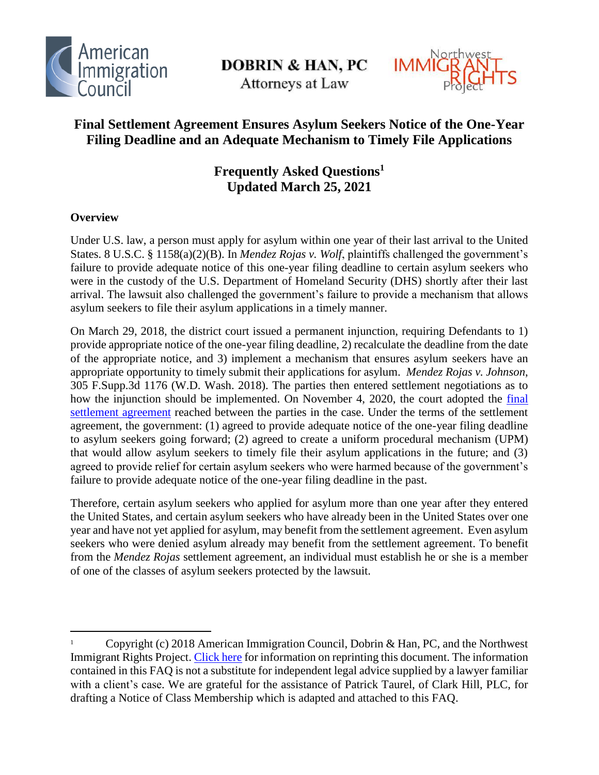

**DOBRIN & HAN, PC** 

Attorneys at Law



# **Final Settlement Agreement Ensures Asylum Seekers Notice of the One-Year Filing Deadline and an Adequate Mechanism to Timely File Applications**

# **Frequently Asked Questions<sup>1</sup> Updated March 25, 2021**

# **Overview**

 $\overline{a}$ 

Under U.S. law, a person must apply for asylum within one year of their last arrival to the United States. 8 U.S.C. § 1158(a)(2)(B). In *Mendez Rojas v. Wolf*, plaintiffs challenged the government's failure to provide adequate notice of this one-year filing deadline to certain asylum seekers who were in the custody of the U.S. Department of Homeland Security (DHS) shortly after their last arrival. The lawsuit also challenged the government's failure to provide a mechanism that allows asylum seekers to file their asylum applications in a timely manner.

On March 29, 2018, the district court issued a permanent injunction, requiring Defendants to 1) provide appropriate notice of the one-year filing deadline, 2) recalculate the deadline from the date of the appropriate notice, and 3) implement a mechanism that ensures asylum seekers have an appropriate opportunity to timely submit their applications for asylum. *Mendez Rojas v. Johnson*, 305 F.Supp.3d 1176 (W.D. Wash. 2018). The parties then entered settlement negotiations as to how the injunction should be implemented. On November 4, 2020, the court adopted the [final](https://nwirp.org/uploads/2020/08/Mendez-Rojas-Corrected-Settlement-Agreement.pdf)  [settlement agreement](https://nwirp.org/uploads/2020/08/Mendez-Rojas-Corrected-Settlement-Agreement.pdf) reached between the parties in the case. Under the terms of the settlement agreement, the government: (1) agreed to provide adequate notice of the one-year filing deadline to asylum seekers going forward; (2) agreed to create a uniform procedural mechanism (UPM) that would allow asylum seekers to timely file their asylum applications in the future; and (3) agreed to provide relief for certain asylum seekers who were harmed because of the government's failure to provide adequate notice of the one-year filing deadline in the past.

Therefore, certain asylum seekers who applied for asylum more than one year after they entered the United States, and certain asylum seekers who have already been in the United States over one year and have not yet applied for asylum, may benefit from the settlement agreement. Even asylum seekers who were denied asylum already may benefit from the settlement agreement. To benefit from the *Mendez Rojas* settlement agreement, an individual must establish he or she is a member of one of the classes of asylum seekers protected by the lawsuit.

<sup>1</sup> Copyright (c) 2018 American Immigration Council, Dobrin & Han, PC, and the Northwest Immigrant Rights Project. [Click here](https://www.americanimmigrationcouncil.org/sites/default/files/council_copyright_policy.pdf) for information on reprinting this document. The information contained in this FAQ is not a substitute for independent legal advice supplied by a lawyer familiar with a client's case. We are grateful for the assistance of Patrick Taurel, of Clark Hill, PLC, for drafting a Notice of Class Membership which is adapted and attached to this FAQ.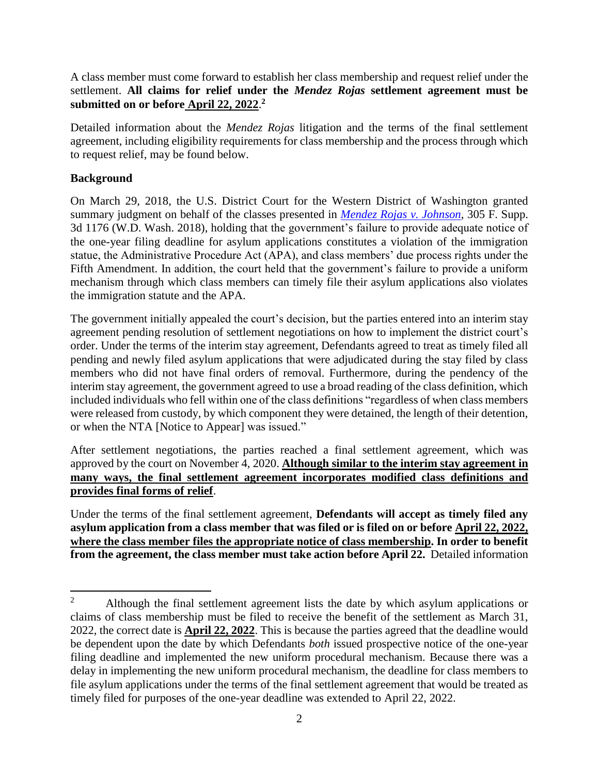A class member must come forward to establish her class membership and request relief under the settlement. **All claims for relief under the** *Mendez Rojas* **settlement agreement must be submitted on or before April 22, 2022**. **2**

Detailed information about the *Mendez Rojas* litigation and the terms of the final settlement agreement, including eligibility requirements for class membership and the process through which to request relief, may be found below.

# **Background**

On March 29, 2018, the U.S. District Court for the Western District of Washington granted summary judgment on behalf of the classes presented in *[Mendez Rojas v. Johnson](https://www.americanimmigrationcouncil.org/sites/default/files/litigation_documents/mendez-rojas_v_johnson_order_granting_motion_for_summary_judgement.pdf)*, 305 F. Supp. 3d 1176 (W.D. Wash. 2018), holding that the government's failure to provide adequate notice of the one-year filing deadline for asylum applications constitutes a violation of the immigration statue, the Administrative Procedure Act (APA), and class members' due process rights under the Fifth Amendment. In addition, the court held that the government's failure to provide a uniform mechanism through which class members can timely file their asylum applications also violates the immigration statute and the APA.

The government initially appealed the court's decision, but the parties entered into an interim stay agreement pending resolution of settlement negotiations on how to implement the district court's order. Under the terms of the interim stay agreement, Defendants agreed to treat as timely filed all pending and newly filed asylum applications that were adjudicated during the stay filed by class members who did not have final orders of removal. Furthermore, during the pendency of the interim stay agreement, the government agreed to use a broad reading of the class definition, which included individuals who fell within one of the class definitions "regardless of when class members were released from custody, by which component they were detained, the length of their detention, or when the NTA [Notice to Appear] was issued."

After settlement negotiations, the parties reached a final settlement agreement, which was approved by the court on November 4, 2020. **Although similar to the interim stay agreement in many ways, the final settlement agreement incorporates modified class definitions and provides final forms of relief**.

Under the terms of the final settlement agreement, **Defendants will accept as timely filed any asylum application from a class member that was filed or is filed on or before April 22, 2022, where the class member files the appropriate notice of class membership. In order to benefit from the agreement, the class member must take action before April 22.** Detailed information

 $\overline{2}$ <sup>2</sup> Although the final settlement agreement lists the date by which asylum applications or claims of class membership must be filed to receive the benefit of the settlement as March 31, 2022, the correct date is **April 22, 2022**. This is because the parties agreed that the deadline would be dependent upon the date by which Defendants *both* issued prospective notice of the one-year filing deadline and implemented the new uniform procedural mechanism. Because there was a delay in implementing the new uniform procedural mechanism, the deadline for class members to file asylum applications under the terms of the final settlement agreement that would be treated as timely filed for purposes of the one-year deadline was extended to April 22, 2022.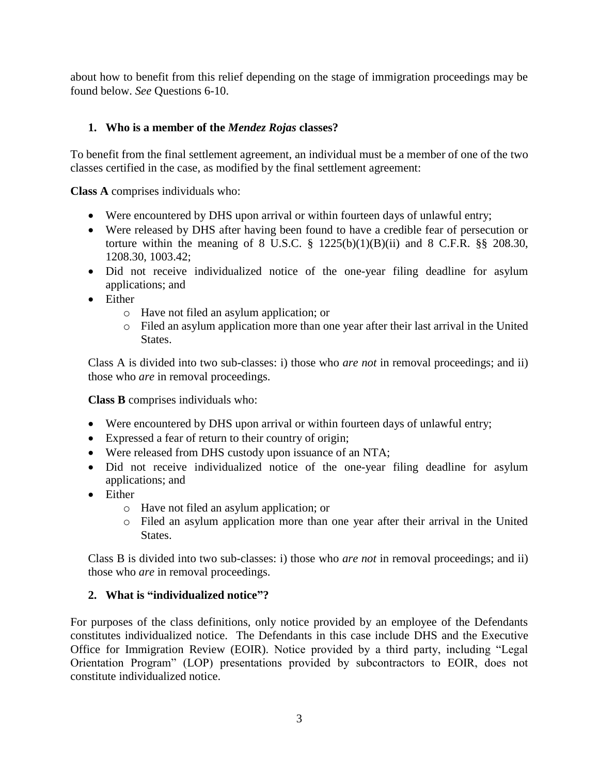about how to benefit from this relief depending on the stage of immigration proceedings may be found below. *See* Questions 6-10.

# **1. Who is a member of the** *Mendez Rojas* **classes?**

To benefit from the final settlement agreement, an individual must be a member of one of the two classes certified in the case, as modified by the final settlement agreement:

**Class A** comprises individuals who:

- Were encountered by DHS upon arrival or within fourteen days of unlawful entry;
- Were released by DHS after having been found to have a credible fear of persecution or torture within the meaning of 8 U.S.C.  $\S$  1225(b)(1)(B)(ii) and 8 C.F.R.  $\S$ § 208.30, 1208.30, 1003.42;
- Did not receive individualized notice of the one-year filing deadline for asylum applications; and
- Either
	- o Have not filed an asylum application; or
	- o Filed an asylum application more than one year after their last arrival in the United States.

Class A is divided into two sub-classes: i) those who *are not* in removal proceedings; and ii) those who *are* in removal proceedings.

**Class B** comprises individuals who:

- Were encountered by DHS upon arrival or within fourteen days of unlawful entry;
- Expressed a fear of return to their country of origin;
- Were released from DHS custody upon issuance of an NTA;
- Did not receive individualized notice of the one-year filing deadline for asylum applications; and
- **•** Either
	- o Have not filed an asylum application; or
	- o Filed an asylum application more than one year after their arrival in the United States.

Class B is divided into two sub-classes: i) those who *are not* in removal proceedings; and ii) those who *are* in removal proceedings.

# **2. What is "individualized notice"?**

For purposes of the class definitions, only notice provided by an employee of the Defendants constitutes individualized notice. The Defendants in this case include DHS and the Executive Office for Immigration Review (EOIR). Notice provided by a third party, including "Legal Orientation Program" (LOP) presentations provided by subcontractors to EOIR, does not constitute individualized notice.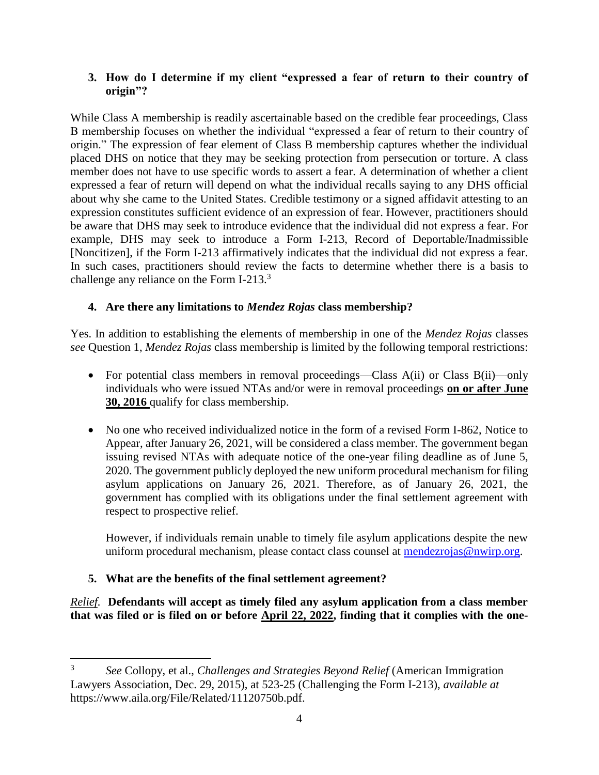# **3. How do I determine if my client "expressed a fear of return to their country of origin"?**

While Class A membership is readily ascertainable based on the credible fear proceedings, Class B membership focuses on whether the individual "expressed a fear of return to their country of origin." The expression of fear element of Class B membership captures whether the individual placed DHS on notice that they may be seeking protection from persecution or torture. A class member does not have to use specific words to assert a fear. A determination of whether a client expressed a fear of return will depend on what the individual recalls saying to any DHS official about why she came to the United States. Credible testimony or a signed affidavit attesting to an expression constitutes sufficient evidence of an expression of fear. However, practitioners should be aware that DHS may seek to introduce evidence that the individual did not express a fear. For example, DHS may seek to introduce a Form I-213, Record of Deportable/Inadmissible [Noncitizen], if the Form I-213 affirmatively indicates that the individual did not express a fear. In such cases, practitioners should review the facts to determine whether there is a basis to challenge any reliance on the Form I-213.<sup>3</sup>

# **4. Are there any limitations to** *Mendez Rojas* **class membership?**

Yes. In addition to establishing the elements of membership in one of the *Mendez Rojas* classes *see* Question 1, *Mendez Rojas* class membership is limited by the following temporal restrictions:

- For potential class members in removal proceedings—Class A(ii) or Class B(ii)—only individuals who were issued NTAs and/or were in removal proceedings **on or after June 30, 2016** qualify for class membership.
- No one who received individualized notice in the form of a revised Form I-862, Notice to Appear, after January 26, 2021, will be considered a class member. The government began issuing revised NTAs with adequate notice of the one-year filing deadline as of June 5, 2020. The government publicly deployed the new uniform procedural mechanism for filing asylum applications on January 26, 2021. Therefore, as of January 26, 2021, the government has complied with its obligations under the final settlement agreement with respect to prospective relief.

However, if individuals remain unable to timely file asylum applications despite the new uniform procedural mechanism, please contact class counsel at [mendezrojas@nwirp.org.](mailto:mendezrojas@nwirp.org)

# **5. What are the benefits of the final settlement agreement?**

*Relief.* **Defendants will accept as timely filed any asylum application from a class member that was filed or is filed on or before April 22, 2022, finding that it complies with the one-**

 $\overline{a}$ 3 *See* Collopy, et al., *Challenges and Strategies Beyond Relief* (American Immigration Lawyers Association, Dec. 29, 2015), at 523-25 (Challenging the Form I-213), *available at* https://www.aila.org/File/Related/11120750b.pdf.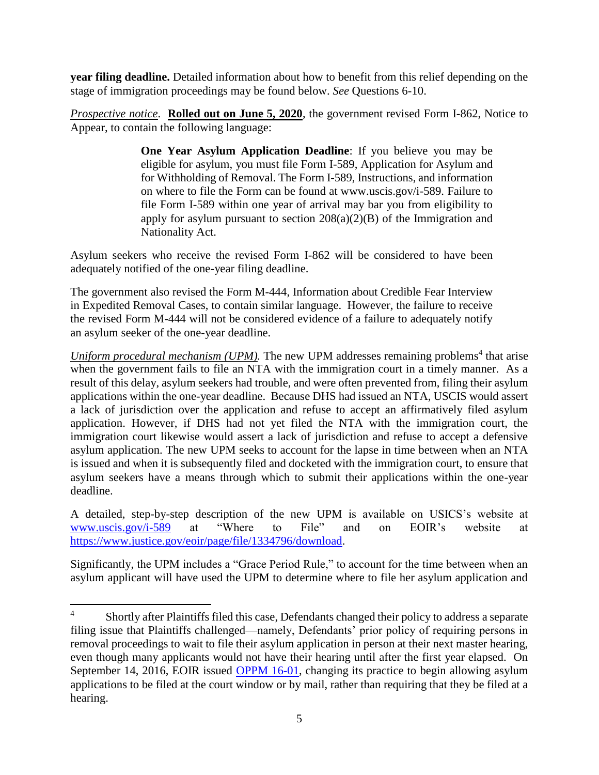**year filing deadline.** Detailed information about how to benefit from this relief depending on the stage of immigration proceedings may be found below. *See* Questions 6-10.

*Prospective notice*. **Rolled out on June 5, 2020**, the government revised Form I-862, Notice to Appear, to contain the following language:

> **One Year Asylum Application Deadline**: If you believe you may be eligible for asylum, you must file Form I-589, Application for Asylum and for Withholding of Removal. The Form I-589, Instructions, and information on where to file the Form can be found at www.uscis.gov/i-589. Failure to file Form I-589 within one year of arrival may bar you from eligibility to apply for asylum pursuant to section  $208(a)(2)(B)$  of the Immigration and Nationality Act.

Asylum seekers who receive the revised Form I-862 will be considered to have been adequately notified of the one-year filing deadline.

The government also revised the Form M-444, Information about Credible Fear Interview in Expedited Removal Cases, to contain similar language. However, the failure to receive the revised Form M-444 will not be considered evidence of a failure to adequately notify an asylum seeker of the one-year deadline.

Uniform procedural mechanism (UPM). The new UPM addresses remaining problems<sup>4</sup> that arise when the government fails to file an NTA with the immigration court in a timely manner. As a result of this delay, asylum seekers had trouble, and were often prevented from, filing their asylum applications within the one-year deadline. Because DHS had issued an NTA, USCIS would assert a lack of jurisdiction over the application and refuse to accept an affirmatively filed asylum application. However, if DHS had not yet filed the NTA with the immigration court, the immigration court likewise would assert a lack of jurisdiction and refuse to accept a defensive asylum application. The new UPM seeks to account for the lapse in time between when an NTA is issued and when it is subsequently filed and docketed with the immigration court, to ensure that asylum seekers have a means through which to submit their applications within the one-year deadline.

A detailed, step-by-step description of the new UPM is available on USICS's website at [www.uscis.gov/i-589](http://www.uscis.gov/i-589) at "Where to File" and on EOIR's website at [https://www.justice.gov/eoir/page/file/1334796/download.](https://www.justice.gov/eoir/page/file/1334796/download)

Significantly, the UPM includes a "Grace Period Rule," to account for the time between when an asylum applicant will have used the UPM to determine where to file her asylum application and

 $\overline{a}$ 

<sup>&</sup>lt;sup>4</sup> Shortly after Plaintiffs filed this case, Defendants changed their policy to address a separate filing issue that Plaintiffs challenged—namely, Defendants' prior policy of requiring persons in removal proceedings to wait to file their asylum application in person at their next master hearing, even though many applicants would not have their hearing until after the first year elapsed. On September 14, 2016, EOIR issued [OPPM 16-01,](https://www.justice.gov/sites/default/files/pages/attachments/2016/09/14/oppm_16-01.pdf) changing its practice to begin allowing asylum applications to be filed at the court window or by mail, rather than requiring that they be filed at a hearing.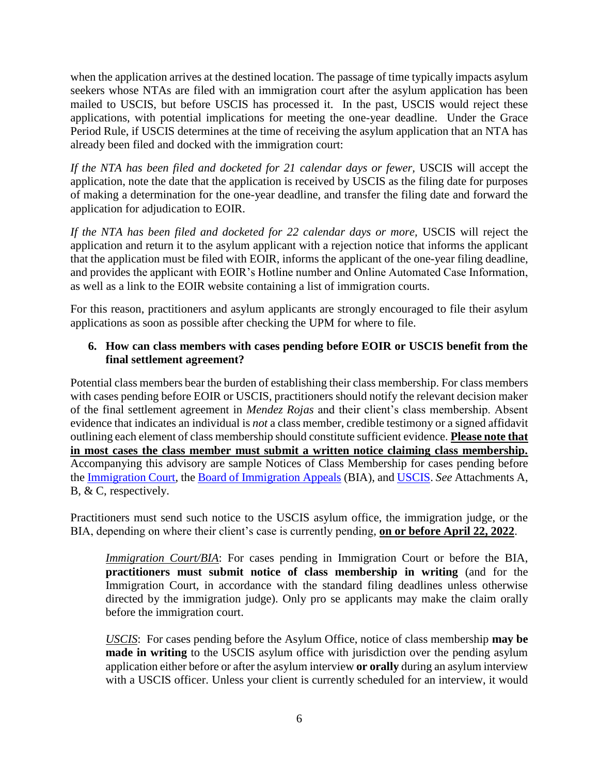when the application arrives at the destined location. The passage of time typically impacts asylum seekers whose NTAs are filed with an immigration court after the asylum application has been mailed to USCIS, but before USCIS has processed it. In the past, USCIS would reject these applications, with potential implications for meeting the one-year deadline. Under the Grace Period Rule, if USCIS determines at the time of receiving the asylum application that an NTA has already been filed and docked with the immigration court:

*If the NTA has been filed and docketed for 21 calendar days or fewer,* USCIS will accept the application, note the date that the application is received by USCIS as the filing date for purposes of making a determination for the one-year deadline, and transfer the filing date and forward the application for adjudication to EOIR.

*If the NTA has been filed and docketed for 22 calendar days or more,* USCIS will reject the application and return it to the asylum applicant with a rejection notice that informs the applicant that the application must be filed with EOIR, informs the applicant of the one-year filing deadline, and provides the applicant with EOIR's Hotline number and Online Automated Case Information, as well as a link to the EOIR website containing a list of immigration courts.

For this reason, practitioners and asylum applicants are strongly encouraged to file their asylum applications as soon as possible after checking the UPM for where to file.

### **6. How can class members with cases pending before EOIR or USCIS benefit from the final settlement agreement?**

Potential class members bear the burden of establishing their class membership. For class members with cases pending before EOIR or USCIS, practitioners should notify the relevant decision maker of the final settlement agreement in *Mendez Rojas* and their client's class membership. Absent evidence that indicates an individual is *not* a class member, credible testimony or a signed affidavit outlining each element of class membership should constitute sufficient evidence. **Please note that in most cases the class member must submit a written notice claiming class membership.** Accompanying this advisory are sample Notices of Class Membership for cases pending before the [Immigration Court,](https://www.nwirp.org/wp-content/uploads/2020/07/IJsamplemembershipclaim.pdf) the [Board of Immigration Appeals](https://www.nwirp.org/wp-content/uploads/2020/07/BIAsamplemembershipclaim.pdf) (BIA), and [USCIS.](https://www.nwirp.org/wp-content/uploads/2020/07/USCISsamplembershipclaim.pdf) *See* Attachments A, B, & C, respectively.

Practitioners must send such notice to the USCIS asylum office, the immigration judge, or the BIA, depending on where their client's case is currently pending, **on or before April 22, 2022**.

*Immigration Court/BIA*: For cases pending in Immigration Court or before the BIA, **practitioners must submit notice of class membership in writing** (and for the Immigration Court, in accordance with the standard filing deadlines unless otherwise directed by the immigration judge). Only pro se applicants may make the claim orally before the immigration court.

*USCIS*: For cases pending before the Asylum Office, notice of class membership **may be made in writing** to the USCIS asylum office with jurisdiction over the pending asylum application either before or after the asylum interview **or orally** during an asylum interview with a USCIS officer. Unless your client is currently scheduled for an interview, it would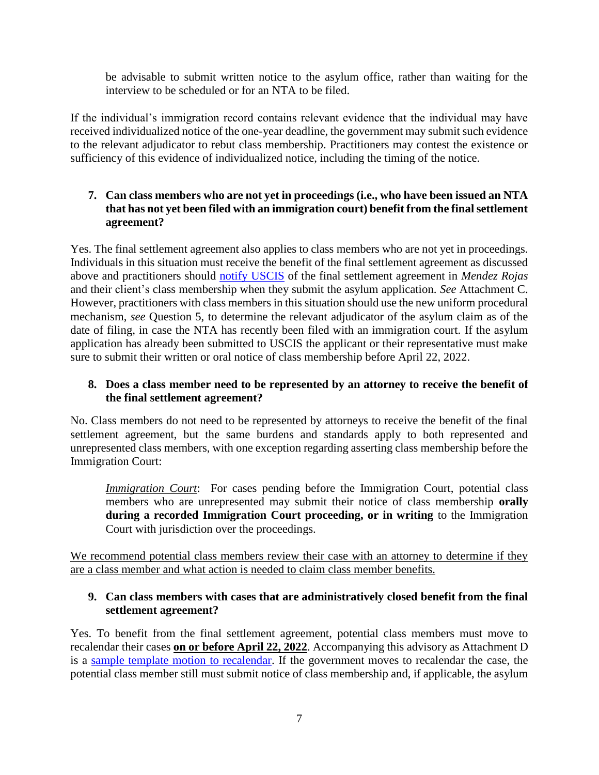be advisable to submit written notice to the asylum office, rather than waiting for the interview to be scheduled or for an NTA to be filed.

If the individual's immigration record contains relevant evidence that the individual may have received individualized notice of the one-year deadline, the government may submit such evidence to the relevant adjudicator to rebut class membership. Practitioners may contest the existence or sufficiency of this evidence of individualized notice, including the timing of the notice.

# **7. Can class members who are not yet in proceedings (i.e., who have been issued an NTA that has not yet been filed with an immigration court) benefit from the final settlement agreement?**

Yes. The final settlement agreement also applies to class members who are not yet in proceedings. Individuals in this situation must receive the benefit of the final settlement agreement as discussed above and practitioners should [notify USCIS](https://www.nwirp.org/wp-content/uploads/2020/07/USCISsamplembershipclaim.pdf) of the final settlement agreement in *Mendez Rojas* and their client's class membership when they submit the asylum application. *See* Attachment C. However, practitioners with class members in this situation should use the new uniform procedural mechanism, *see* Question 5, to determine the relevant adjudicator of the asylum claim as of the date of filing, in case the NTA has recently been filed with an immigration court. If the asylum application has already been submitted to USCIS the applicant or their representative must make sure to submit their written or oral notice of class membership before April 22, 2022.

#### **8. Does a class member need to be represented by an attorney to receive the benefit of the final settlement agreement?**

No. Class members do not need to be represented by attorneys to receive the benefit of the final settlement agreement, but the same burdens and standards apply to both represented and unrepresented class members, with one exception regarding asserting class membership before the Immigration Court:

*Immigration Court*: For cases pending before the Immigration Court, potential class members who are unrepresented may submit their notice of class membership **orally during a recorded Immigration Court proceeding, or in writing** to the Immigration Court with jurisdiction over the proceedings.

We recommend potential class members review their case with an attorney to determine if they are a class member and what action is needed to claim class member benefits.

# **9. Can class members with cases that are administratively closed benefit from the final settlement agreement?**

Yes. To benefit from the final settlement agreement, potential class members must move to recalendar their cases **on or before April 22, 2022**. Accompanying this advisory as Attachment D is a [sample template motion to recalendar.](https://www.nwirp.org/wp-content/uploads/2020/07/Recalendarsample.pdf) If the government moves to recalendar the case, the potential class member still must submit notice of class membership and, if applicable, the asylum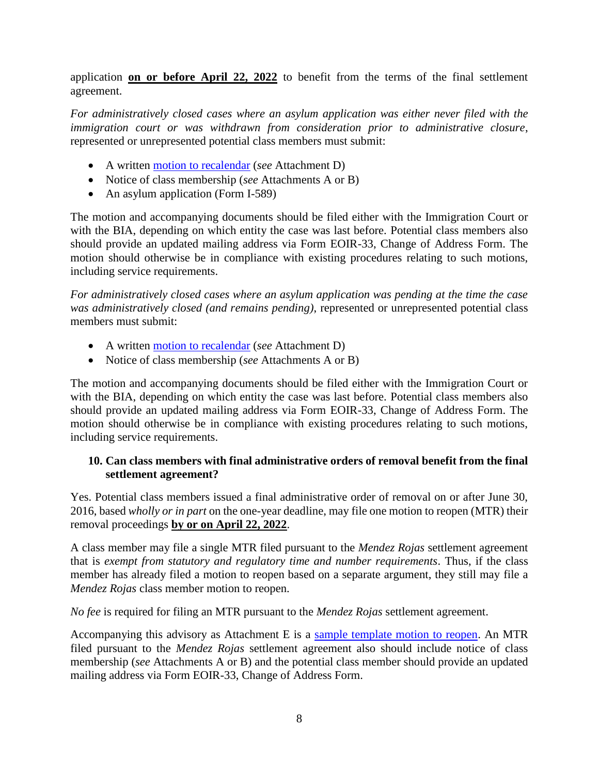application **on or before April 22, 2022** to benefit from the terms of the final settlement agreement.

*For administratively closed cases where an asylum application was either never filed with the immigration court or was withdrawn from consideration prior to administrative closure*, represented or unrepresented potential class members must submit:

- A written [motion to recalendar](https://www.nwirp.org/wp-content/uploads/2020/07/Recalendarsample.pdf) (*see* Attachment D)
- Notice of class membership (*see* Attachments A or B)
- An asylum application (Form I-589)

The motion and accompanying documents should be filed either with the Immigration Court or with the BIA, depending on which entity the case was last before. Potential class members also should provide an updated mailing address via Form EOIR-33, Change of Address Form. The motion should otherwise be in compliance with existing procedures relating to such motions, including service requirements.

*For administratively closed cases where an asylum application was pending at the time the case was administratively closed (and remains pending)*, represented or unrepresented potential class members must submit:

- A written [motion to recalendar](https://www.nwirp.org/wp-content/uploads/2020/07/Recalendarsample.pdf) (*see* Attachment D)
- Notice of class membership (*see* Attachments A or B)

The motion and accompanying documents should be filed either with the Immigration Court or with the BIA, depending on which entity the case was last before. Potential class members also should provide an updated mailing address via Form EOIR-33, Change of Address Form. The motion should otherwise be in compliance with existing procedures relating to such motions, including service requirements.

# **10. Can class members with final administrative orders of removal benefit from the final settlement agreement?**

Yes. Potential class members issued a final administrative order of removal on or after June 30, 2016, based *wholly or in part* on the one-year deadline, may file one motion to reopen (MTR) their removal proceedings **by or on April 22, 2022**.

A class member may file a single MTR filed pursuant to the *Mendez Rojas* settlement agreement that is *exempt from statutory and regulatory time and number requirements*. Thus, if the class member has already filed a motion to reopen based on a separate argument, they still may file a *Mendez Rojas* class member motion to reopen.

*No fee* is required for filing an MTR pursuant to the *Mendez Rojas* settlement agreement.

Accompanying this advisory as Attachment E is a [sample template motion to reopen.](https://www.nwirp.org/uploads/2020/07/Reopensample.pdf) An MTR filed pursuant to the *Mendez Rojas* settlement agreement also should include notice of class membership (*see* Attachments A or B) and the potential class member should provide an updated mailing address via Form EOIR-33, Change of Address Form.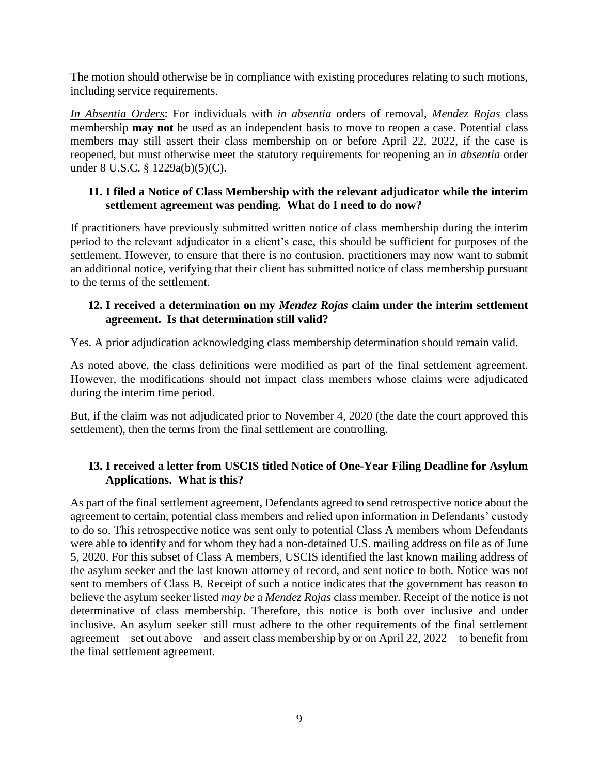The motion should otherwise be in compliance with existing procedures relating to such motions, including service requirements.

*In Absentia Orders*: For individuals with *in absentia* orders of removal, *Mendez Rojas* class membership **may not** be used as an independent basis to move to reopen a case. Potential class members may still assert their class membership on or before April 22, 2022, if the case is reopened, but must otherwise meet the statutory requirements for reopening an *in absentia* order under 8 U.S.C. § 1229a(b)(5)(C).

#### **11. I filed a Notice of Class Membership with the relevant adjudicator while the interim settlement agreement was pending. What do I need to do now?**

If practitioners have previously submitted written notice of class membership during the interim period to the relevant adjudicator in a client's case, this should be sufficient for purposes of the settlement. However, to ensure that there is no confusion, practitioners may now want to submit an additional notice, verifying that their client has submitted notice of class membership pursuant to the terms of the settlement.

#### **12. I received a determination on my** *Mendez Rojas* **claim under the interim settlement agreement. Is that determination still valid?**

Yes. A prior adjudication acknowledging class membership determination should remain valid.

As noted above, the class definitions were modified as part of the final settlement agreement. However, the modifications should not impact class members whose claims were adjudicated during the interim time period.

But, if the claim was not adjudicated prior to November 4, 2020 (the date the court approved this settlement), then the terms from the final settlement are controlling.

# **13. I received a letter from USCIS titled Notice of One-Year Filing Deadline for Asylum Applications. What is this?**

As part of the final settlement agreement, Defendants agreed to send retrospective notice about the agreement to certain, potential class members and relied upon information in Defendants' custody to do so. This retrospective notice was sent only to potential Class A members whom Defendants were able to identify and for whom they had a non-detained U.S. mailing address on file as of June 5, 2020. For this subset of Class A members, USCIS identified the last known mailing address of the asylum seeker and the last known attorney of record, and sent notice to both. Notice was not sent to members of Class B. Receipt of such a notice indicates that the government has reason to believe the asylum seeker listed *may be* a *Mendez Rojas* class member. Receipt of the notice is not determinative of class membership. Therefore, this notice is both over inclusive and under inclusive. An asylum seeker still must adhere to the other requirements of the final settlement agreement—set out above—and assert class membership by or on April 22, 2022—to benefit from the final settlement agreement.